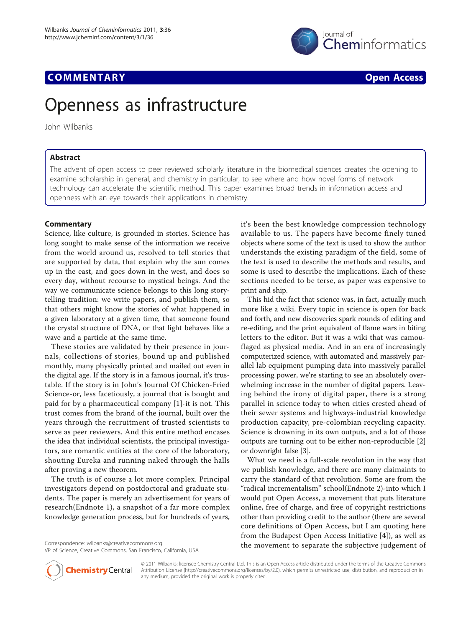

# Openness as infrastructure

John Wilbanks

## Abstract

The advent of open access to peer reviewed scholarly literature in the biomedical sciences creates the opening to examine scholarship in general, and chemistry in particular, to see where and how novel forms of network technology can accelerate the scientific method. This paper examines broad trends in information access and openness with an eye towards their applications in chemistry.

## **Commentary**

Science, like culture, is grounded in stories. Science has long sought to make sense of the information we receive from the world around us, resolved to tell stories that are supported by data, that explain why the sun comes up in the east, and goes down in the west, and does so every day, without recourse to mystical beings. And the way we communicate science belongs to this long storytelling tradition: we write papers, and publish them, so that others might know the stories of what happened in a given laboratory at a given time, that someone found the crystal structure of DNA, or that light behaves like a wave and a particle at the same time.

These stories are validated by their presence in journals, collections of stories, bound up and published monthly, many physically printed and mailed out even in the digital age. If the story is in a famous journal, it's trustable. If the story is in John's Journal Of Chicken-Fried Science-or, less facetiously, a journal that is bought and paid for by a pharmaceutical company [[1\]](#page-3-0)-it is not. This trust comes from the brand of the journal, built over the years through the recruitment of trusted scientists to serve as peer reviewers. And this entire method encases the idea that individual scientists, the principal investigators, are romantic entities at the core of the laboratory, shouting Eureka and running naked through the halls after proving a new theorem.

The truth is of course a lot more complex. Principal investigators depend on postdoctoral and graduate students. The paper is merely an advertisement for years of research(Endnote 1), a snapshot of a far more complex knowledge generation process, but for hundreds of years,

it's been the best knowledge compression technology available to us. The papers have become finely tuned objects where some of the text is used to show the author understands the existing paradigm of the field, some of the text is used to describe the methods and results, and some is used to describe the implications. Each of these sections needed to be terse, as paper was expensive to print and ship.

This hid the fact that science was, in fact, actually much more like a wiki. Every topic in science is open for back and forth, and new discoveries spark rounds of editing and re-editing, and the print equivalent of flame wars in biting letters to the editor. But it was a wiki that was camouflaged as physical media. And in an era of increasingly computerized science, with automated and massively parallel lab equipment pumping data into massively parallel processing power, we're starting to see an absolutely overwhelming increase in the number of digital papers. Leaving behind the irony of digital paper, there is a strong parallel in science today to when cities crested ahead of their sewer systems and highways-industrial knowledge production capacity, pre-colombian recycling capacity. Science is drowning in its own outputs, and a lot of those outputs are turning out to be either non-reproducible [[2](#page-3-0)] or downright false [[3\]](#page-3-0).

What we need is a full-scale revolution in the way that we publish knowledge, and there are many claimaints to carry the standard of that revolution. Some are from the "radical incrementalism" school(Endnote 2)-into which I would put Open Access, a movement that puts literature online, free of charge, and free of copyright restrictions other than providing credit to the author (there are several core definitions of Open Access, but I am quoting here from the Budapest Open Access Initiative [\[4](#page-3-0)]), as well as the movement to separate the subjective judgement of Correspondence: [wilbanks@creativecommons.org](mailto:wilbanks@creativecommons.org)



© 2011 Wilbanks; licensee Chemistry Central Ltd. This is an Open Access article distributed under the terms of the Creative Commons Attribution License [\(http://creativecommons.org/licenses/by/2.0](http://creativecommons.org/licenses/by/2.0)), which permits unrestricted use, distribution, and reproduction in any medium, provided the original work is properly cited.

VP of Science, Creative Commons, San Francisco, California, USA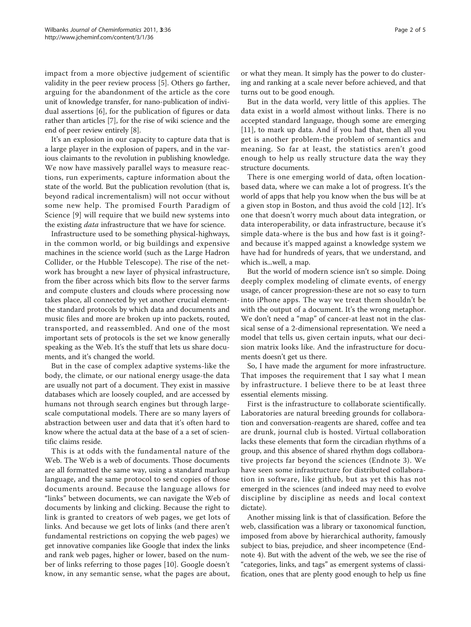impact from a more objective judgement of scientific validity in the peer review process [\[5](#page-3-0)]. Others go farther, arguing for the abandonment of the article as the core unit of knowledge transfer, for nano-publication of individual assertions [[6\]](#page-3-0), for the publication of figures or data rather than articles [[7\]](#page-3-0), for the rise of wiki science and the end of peer review entirely [\[8](#page-3-0)].

It's an explosion in our capacity to capture data that is a large player in the explosion of papers, and in the various claimants to the revolution in publishing knowledge. We now have massively parallel ways to measure reactions, run experiments, capture information about the state of the world. But the publication revolution (that is, beyond radical incrementalism) will not occur without some new help. The promised Fourth Paradigm of Science [[9](#page-4-0)] will require that we build new systems into the existing *data* infrastructure that we have for science.

Infrastructure used to be something physical-highways, in the common world, or big buildings and expensive machines in the science world (such as the Large Hadron Collider, or the Hubble Telescope). The rise of the network has brought a new layer of physical infrastructure, from the fiber across which bits flow to the server farms and compute clusters and clouds where processing now takes place, all connected by yet another crucial elementthe standard protocols by which data and documents and music files and more are broken up into packets, routed, transported, and reassembled. And one of the most important sets of protocols is the set we know generally speaking as the Web. It's the stuff that lets us share documents, and it's changed the world.

But in the case of complex adaptive systems-like the body, the climate, or our national energy usage-the data are usually not part of a document. They exist in massive databases which are loosely coupled, and are accessed by humans not through search engines but through largescale computational models. There are so many layers of abstraction between user and data that it's often hard to know where the actual data at the base of a a set of scientific claims reside.

This is at odds with the fundamental nature of the Web. The Web is a web of documents. Those documents are all formatted the same way, using a standard markup language, and the same protocol to send copies of those documents around. Because the language allows for "links" between documents, we can navigate the Web of documents by linking and clicking. Because the right to link is granted to creators of web pages, we get lots of links. And because we get lots of links (and there aren't fundamental restrictions on copying the web pages) we get innovative companies like Google that index the links and rank web pages, higher or lower, based on the number of links referring to those pages [\[10](#page-4-0)]. Google doesn't know, in any semantic sense, what the pages are about,

But in the data world, very little of this applies. The data exist in a world almost without links. There is no accepted standard language, though some are emerging [[11\]](#page-4-0), to mark up data. And if you had that, then all you get is another problem-the problem of semantics and meaning. So far at least, the statistics aren't good enough to help us really structure data the way they structure documents.

There is one emerging world of data, often locationbased data, where we can make a lot of progress. It's the world of apps that help you know when the bus will be at a given stop in Boston, and thus avoid the cold [[12\]](#page-4-0). It's one that doesn't worry much about data integration, or data interoperability, or data infrastructure, because it's simple data-where is the bus and how fast is it going? and because it's mapped against a knowledge system we have had for hundreds of years, that we understand, and which is...well, a map.

But the world of modern science isn't so simple. Doing deeply complex modeling of climate events, of energy usage, of cancer progression-these are not so easy to turn into iPhone apps. The way we treat them shouldn't be with the output of a document. It's the wrong metaphor. We don't need a "map" of cancer-at least not in the classical sense of a 2-dimensional representation. We need a model that tells us, given certain inputs, what our decision matrix looks like. And the infrastructure for documents doesn't get us there.

So, I have made the argument for more infrastructure. That imposes the requirement that I say what I mean by infrastructure. I believe there to be at least three essential elements missing.

First is the infrastructure to collaborate scientifically. Laboratories are natural breeding grounds for collaboration and conversation-reagents are shared, coffee and tea are drunk, journal club is hosted. Virtual collaboration lacks these elements that form the circadian rhythms of a group, and this absence of shared rhythm dogs collaborative projects far beyond the sciences (Endnote 3). We have seen some infrastructure for distributed collaboration in software, like github, but as yet this has not emerged in the sciences (and indeed may need to evolve discipline by discipline as needs and local context dictate).

Another missing link is that of classification. Before the web, classification was a library or taxonomical function, imposed from above by hierarchical authority, famously subject to bias, prejudice, and sheer incompetence (Endnote 4). But with the advent of the web, we see the rise of "categories, links, and tags" as emergent systems of classification, ones that are plenty good enough to help us fine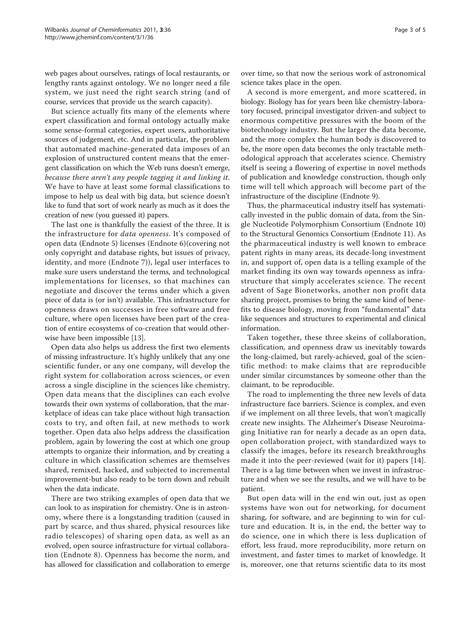web pages about ourselves, ratings of local restaurants, or lengthy rants against ontology. We no longer need a file system, we just need the right search string (and of course, services that provide us the search capacity).

But science actually fits many of the elements where expert classification and formal ontology actually make some sense-formal categories, expert users, authoritative sources of judgement, etc. And in particular, the problem that automated machine-generated data imposes of an explosion of unstructured content means that the emergent classification on which the Web runs doesn't emerge, because there aren't any people tagging it and linking it. We have to have at least some formal classifications to impose to help us deal with big data, but science doesn't like to fund that sort of work nearly as much as it does the creation of new (you guessed it) papers.

The last one is thankfully the easiest of the three. It is the infrastructure for data openness. It's composed of open data (Endnote 5) licenses (Endnote 6)(covering not only copyright and database rights, but issues of privacy, identity, and more (Endnote 7)), legal user interfaces to make sure users understand the terms, and technological implementations for licenses, so that machines can negotiate and discover the terms under which a given piece of data is (or isn't) available. This infrastructure for openness draws on successes in free software and free culture, where open licenses have been part of the creation of entire ecosystems of co-creation that would otherwise have been impossible [\[13\]](#page-4-0).

Open data also helps us address the first two elements of missing infrastructure. It's highly unlikely that any one scientific funder, or any one company, will develop the right system for collaboration across sciences, or even across a single discipline in the sciences like chemistry. Open data means that the disciplines can each evolve towards their own systems of collaboration, that the marketplace of ideas can take place without high transaction costs to try, and often fail, at new methods to work together. Open data also helps address the classification problem, again by lowering the cost at which one group attempts to organize their information, and by creating a culture in which classification schemes are themselves shared, remixed, hacked, and subjected to incremental improvement-but also ready to be torn down and rebuilt when the data indicate.

There are two striking examples of open data that we can look to as inspiration for chemistry. One is in astronomy, where there is a longstanding tradition (caused in part by scarce, and thus shared, physical resources like radio telescopes) of sharing open data, as well as an evolved, open source infrastructure for virtual collaboration (Endnote 8). Openness has become the norm, and has allowed for classification and collaboration to emerge over time, so that now the serious work of astronomical science takes place in the open.

A second is more emergent, and more scattered, in biology. Biology has for years been like chemistry-laboratory focused, principal investigator driven-and subject to enormous competitive pressures with the boom of the biotechnology industry. But the larger the data become, and the more complex the human body is discovered to be, the more open data becomes the only tractable methodological approach that accelerates science. Chemistry itself is seeing a flowering of expertise in novel methods of publication and knowledge construction, though only time will tell which approach will become part of the infrastructure of the discipline (Endnote 9).

Thus, the pharmaceutical industry itself has systematically invested in the public domain of data, from the Single Nucleotide Polymorphism Consortium (Endnote 10) to the Structural Genomics Consortium (Endnote 11). As the pharmaceutical industry is well known to embrace patent rights in many areas, its decade-long investment in, and support of, open data is a telling example of the market finding its own way towards openness as infrastructure that simply accelerates science. The recent advent of Sage Bionetworks, another non profit data sharing project, promises to bring the same kind of benefits to disease biology, moving from "fundamental" data like sequences and structures to experimental and clinical information.

Taken together, these three skeins of collaboration, classification, and openness draw us inevitably towards the long-claimed, but rarely-achieved, goal of the scientific method: to make claims that are reproducible under similar circumstances by someone other than the claimant, to be reproducible.

The road to implementing the three new levels of data infrastructure face barriers. Science is complex, and even if we implement on all three levels, that won't magically create new insights. The Alzheimer's Disease Neuroimaging Initiative ran for nearly a decade as an open data, open collaboration project, with standardized ways to classify the images, before its research breakthroughs made it into the peer-reviewed (wait for it) papers [[14](#page-4-0)]. There is a lag time between when we invest in infrastructure and when we see the results, and we will have to be patient.

But open data will in the end win out, just as open systems have won out for networking, for document sharing, for software, and are beginning to win for culture and education. It is, in the end, the better way to do science, one in which there is less duplication of effort, less fraud, more reproducibility, more return on investment, and faster times to market of knowledge. It is, moreover, one that returns scientific data to its most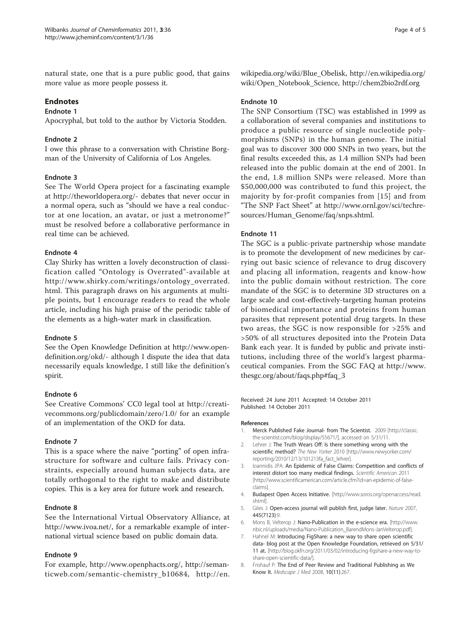<span id="page-3-0"></span>natural state, one that is a pure public good, that gains more value as more people possess it.

## Endnotes

## Endnote 1

Apocryphal, but told to the author by Victoria Stodden.

### Endnote 2

I owe this phrase to a conversation with Christine Borgman of the University of California of Los Angeles.

## Endnote 3

See The World Opera project for a fascinating example at<http://theworldopera.org/>- debates that never occur in a normal opera, such as "should we have a real conductor at one location, an avatar, or just a metronome?" must be resolved before a collaborative performance in real time can be achieved.

## Endnote 4

Clay Shirky has written a lovely deconstruction of classification called "Ontology is Overrated"-available at [http://www.shirky.com/writings/ontology\\_overrated.](http://www.shirky.com/writings/ontology_overrated.html) [html](http://www.shirky.com/writings/ontology_overrated.html). This paragraph draws on his arguments at multiple points, but I encourage readers to read the whole article, including his high praise of the periodic table of the elements as a high-water mark in classification.

#### Endnote 5

See the Open Knowledge Definition at [http://www.open](http://www.opendefinition.org/okd/)[definition.org/okd/-](http://www.opendefinition.org/okd/) although I dispute the idea that data necessarily equals knowledge, I still like the definition's spirit.

#### Endnote 6

See Creative Commons' CC0 legal tool at [http://creati](http://creativecommons.org/publicdomain/zero/1.0/)[vecommons.org/publicdomain/zero/1.0/](http://creativecommons.org/publicdomain/zero/1.0/) for an example of an implementation of the OKD for data.

### Endnote 7

This is a space where the naive "porting" of open infrastructure for software and culture fails. Privacy constraints, especially around human subjects data, are totally orthogonal to the right to make and distribute copies. This is a key area for future work and research.

#### Endnote 8

See the International Virtual Observatory Alliance, at <http://www.ivoa.net/>, for a remarkable example of international virtual science based on public domain data.

#### Endnote 9

For example, [http://www.openphacts.org/,](http://www.openphacts.org/) [http://seman](http://semanticweb.com/semantic-chemistry_b10684)[ticweb.com/semantic-chemistry\\_b10684](http://semanticweb.com/semantic-chemistry_b10684), [http://en.](http://en.wikipedia.org/wiki/Blue_Obelisk) [wikipedia.org/wiki/Blue\\_Obelisk,](http://en.wikipedia.org/wiki/Blue_Obelisk) [http://en.wikipedia.org/](http://en.wikipedia.org/wiki/Open_Notebook_Science) [wiki/Open\\_Notebook\\_Science,](http://en.wikipedia.org/wiki/Open_Notebook_Science)<http://chem2bio2rdf.org>

#### Endnote 10

The SNP Consortium (TSC) was established in 1999 as a collaboration of several companies and institutions to produce a public resource of single nucleotide polymorphisms (SNPs) in the human genome. The initial goal was to discover 300 000 SNPs in two years, but the final results exceeded this, as 1.4 million SNPs had been released into the public domain at the end of 2001. In the end, 1.8 million SNPs were released. More than \$50,000,000 was contributed to fund this project, the majority by for-profit companies from [[15](#page-4-0)] and from "The SNP Fact Sheet" at [http://www.ornl.gov/sci/techre](http://www.ornl.gov/sci/techresources/Human_Genome/faq/snps.shtml)[sources/Human\\_Genome/faq/snps.shtml](http://www.ornl.gov/sci/techresources/Human_Genome/faq/snps.shtml).

#### Endnote 11

The SGC is a public-private partnership whose mandate is to promote the development of new medicines by carrying out basic science of relevance to drug discovery and placing all information, reagents and know-how into the public domain without restriction. The core mandate of the SGC is to determine 3D structures on a large scale and cost-effectively-targeting human proteins of biomedical importance and proteins from human parasites that represent potential drug targets. In these two areas, the SGC is now responsible for >25% and >50% of all structures deposited into the Protein Data Bank each year. It is funded by public and private institutions, including three of the world's largest pharmaceutical companies. From the SGC FAQ at [http://www.](http://www.thesgc.org/about/faqs.php#faq_3) [thesgc.org/about/faqs.php#faq\\_3](http://www.thesgc.org/about/faqs.php#faq_3)

Received: 24 June 2011 Accepted: 14 October 2011 Published: 14 October 2011

#### References

- 1. Merck Published Fake Journal- from The Scientist. 2009 [\[http://classic.](http://classic.the-scientist.com/blog/display/55671/) [the-scientist.com/blog/display/55671/\]](http://classic.the-scientist.com/blog/display/55671/), accessed on 5/31/11.
- 2. Lehrer J: The Truth Wears Off: Is there something wrong with the scientific method? The New Yorker 2010 [\[http://www.newyorker.com/](http://www.newyorker.com/reporting/2010/12/13/101213fa_fact_lehrer) [reporting/2010/12/13/101213fa\\_fact\\_lehrer\]](http://www.newyorker.com/reporting/2010/12/13/101213fa_fact_lehrer).
- loannidis JPA: An Epidemic of False Claims: Competition and conflicts of interest distort too many medical findings. Scientific American 2011 [[http://www.scientificamerican.com/article.cfm?id=an-epidemic-of-false](http://www.scientificamerican.com/article.cfm?id=an-epidemic-of-false-claims)[claims](http://www.scientificamerican.com/article.cfm?id=an-epidemic-of-false-claims)].
- 4. Budapest Open Access Initiative. [[http://www.soros.org/openaccess/read.](http://www.soros.org/openaccess/read.shtml) [shtml](http://www.soros.org/openaccess/read.shtml)].
- 5. Giles J: [Open-access journal will publish first, judge later.](http://www.ncbi.nlm.nih.gov/pubmed/17203032?dopt=Abstract) Nature 2007, 445(7123):9.
- 6. Mons B, Velterop J: Nano-Publication in the e-science era. [[http://www.](http://www.nbic.nl/uploads/media/Nano-Publication_BarendMons-JanVelterop.pdf) [nbic.nl/uploads/media/Nano-Publication\\_BarendMons-JanVelterop.pdf](http://www.nbic.nl/uploads/media/Nano-Publication_BarendMons-JanVelterop.pdf)].
- 7. Hahnel M: Introducing FigShare: a new way to share open scientific data- blog post at the Open Knowledge Foundation, retrieved on 5/31/ 11 at. [[http://blog.okfn.org/2011/03/02/introducing-figshare-a-new-way-to](http://blog.okfn.org/2011/03/02/introducing-figshare-a-new-way-to-share-open-scientific-data/)[share-open-scientific-data/\]](http://blog.okfn.org/2011/03/02/introducing-figshare-a-new-way-to-share-open-scientific-data/).
- 8. Frishauf P: [The End of Peer Review and Traditional Publishing as We](http://www.ncbi.nlm.nih.gov/pubmed/19099017?dopt=Abstract) [Know It.](http://www.ncbi.nlm.nih.gov/pubmed/19099017?dopt=Abstract) Medscape J Med 2008, 10(11):267.